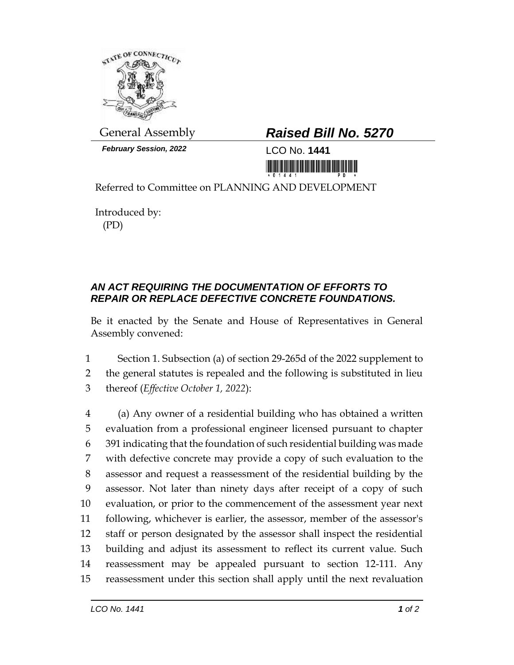

**February Session, 2022** LCO No. **1441** 

## General Assembly *Raised Bill No. 5270*

<u>ni koto hotuna maramatika mir</u>

Referred to Committee on PLANNING AND DEVELOPMENT

Introduced by: (PD)

## *AN ACT REQUIRING THE DOCUMENTATION OF EFFORTS TO REPAIR OR REPLACE DEFECTIVE CONCRETE FOUNDATIONS.*

Be it enacted by the Senate and House of Representatives in General Assembly convened:

1 Section 1. Subsection (a) of section 29-265d of the 2022 supplement to 2 the general statutes is repealed and the following is substituted in lieu 3 thereof (*Effective October 1, 2022*):

 (a) Any owner of a residential building who has obtained a written evaluation from a professional engineer licensed pursuant to chapter 391 indicating that the foundation of such residential building was made with defective concrete may provide a copy of such evaluation to the assessor and request a reassessment of the residential building by the assessor. Not later than ninety days after receipt of a copy of such evaluation, or prior to the commencement of the assessment year next following, whichever is earlier, the assessor, member of the assessor's staff or person designated by the assessor shall inspect the residential building and adjust its assessment to reflect its current value. Such reassessment may be appealed pursuant to section 12-111. Any reassessment under this section shall apply until the next revaluation